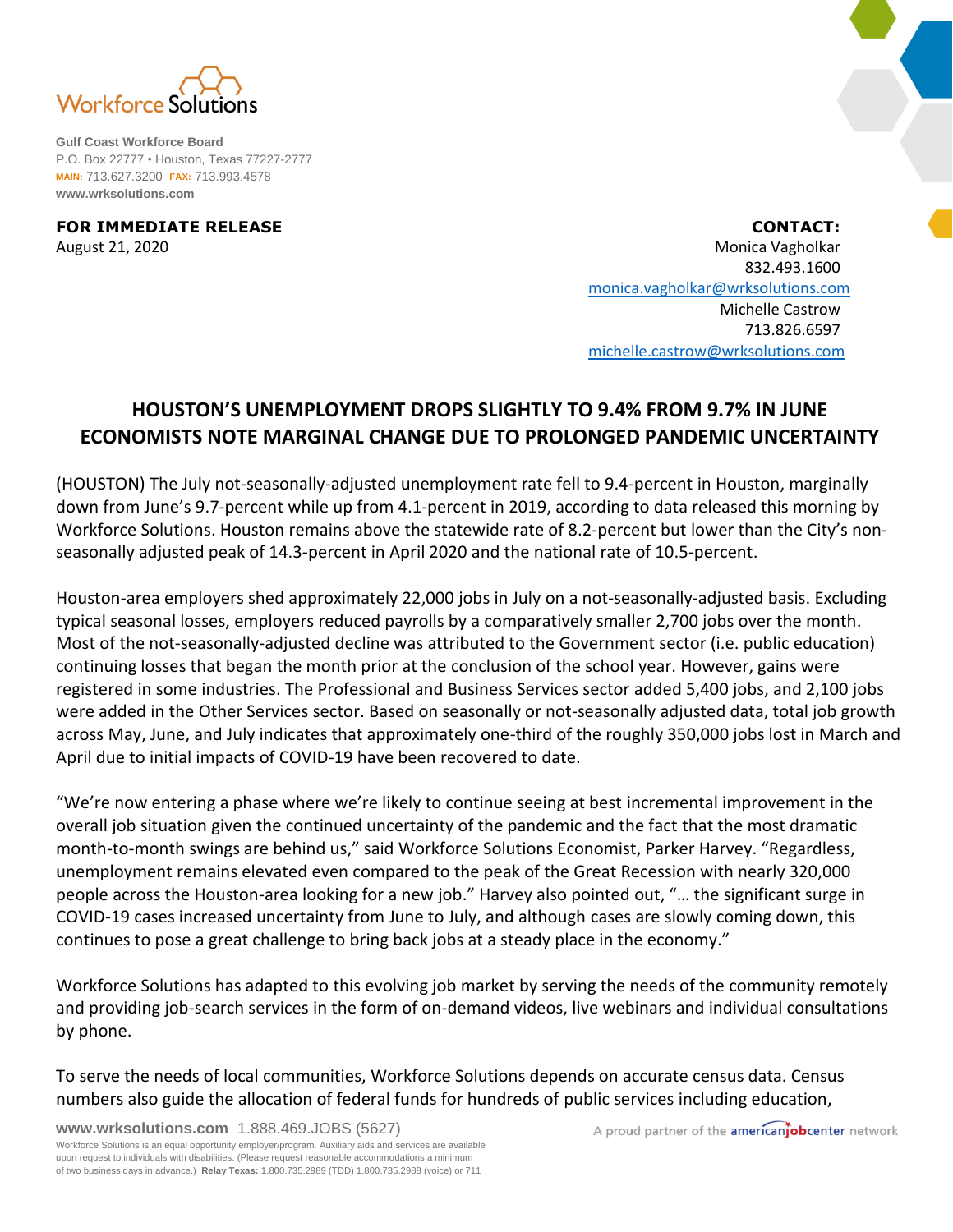

**Gulf Coast Workforce Board** P.O. Box 22777 • Houston, Texas 77227-2777 **MAIN:** 713.627.3200 **FAX:** 713.993.4578 **www.wrksolutions.com**

**FOR IMMEDIATE RELEASE CONTACT:** August 21, 2020 Monica Vagholkar 832.493.1600 [monica.vagholkar@wrksolutions.com](mailto:monica.vagholkar@wrksolutions.com) Michelle Castrow 713.826.6597 [michelle.castrow@wrksolutions.com](mailto:michelle.castrow@wrksolutions.com)

## **HOUSTON'S UNEMPLOYMENT DROPS SLIGHTLY TO 9.4% FROM 9.7% IN JUNE ECONOMISTS NOTE MARGINAL CHANGE DUE TO PROLONGED PANDEMIC UNCERTAINTY**

(HOUSTON) The July not-seasonally-adjusted unemployment rate fell to 9.4-percent in Houston, marginally down from June's 9.7-percent while up from 4.1-percent in 2019, according to data released this morning by Workforce Solutions. Houston remains above the statewide rate of 8.2-percent but lower than the City's nonseasonally adjusted peak of 14.3-percent in April 2020 and the national rate of 10.5-percent.

Houston-area employers shed approximately 22,000 jobs in July on a not-seasonally-adjusted basis. Excluding typical seasonal losses, employers reduced payrolls by a comparatively smaller 2,700 jobs over the month. Most of the not-seasonally-adjusted decline was attributed to the Government sector (i.e. public education) continuing losses that began the month prior at the conclusion of the school year. However, gains were registered in some industries. The Professional and Business Services sector added 5,400 jobs, and 2,100 jobs were added in the Other Services sector. Based on seasonally or not-seasonally adjusted data, total job growth across May, June, and July indicates that approximately one-third of the roughly 350,000 jobs lost in March and April due to initial impacts of COVID-19 have been recovered to date.

"We're now entering a phase where we're likely to continue seeing at best incremental improvement in the overall job situation given the continued uncertainty of the pandemic and the fact that the most dramatic month-to-month swings are behind us," said Workforce Solutions Economist, Parker Harvey. "Regardless, unemployment remains elevated even compared to the peak of the Great Recession with nearly 320,000 people across the Houston-area looking for a new job." Harvey also pointed out, "… the significant surge in COVID-19 cases increased uncertainty from June to July, and although cases are slowly coming down, this continues to pose a great challenge to bring back jobs at a steady place in the economy."

Workforce Solutions has adapted to this evolving job market by serving the needs of the community remotely and providing job-search services in the form of on-demand videos, live webinars and individual consultations by phone.

To serve the needs of local communities, Workforce Solutions depends on accurate census data. Census numbers also guide the allocation of federal funds for hundreds of public services including education,